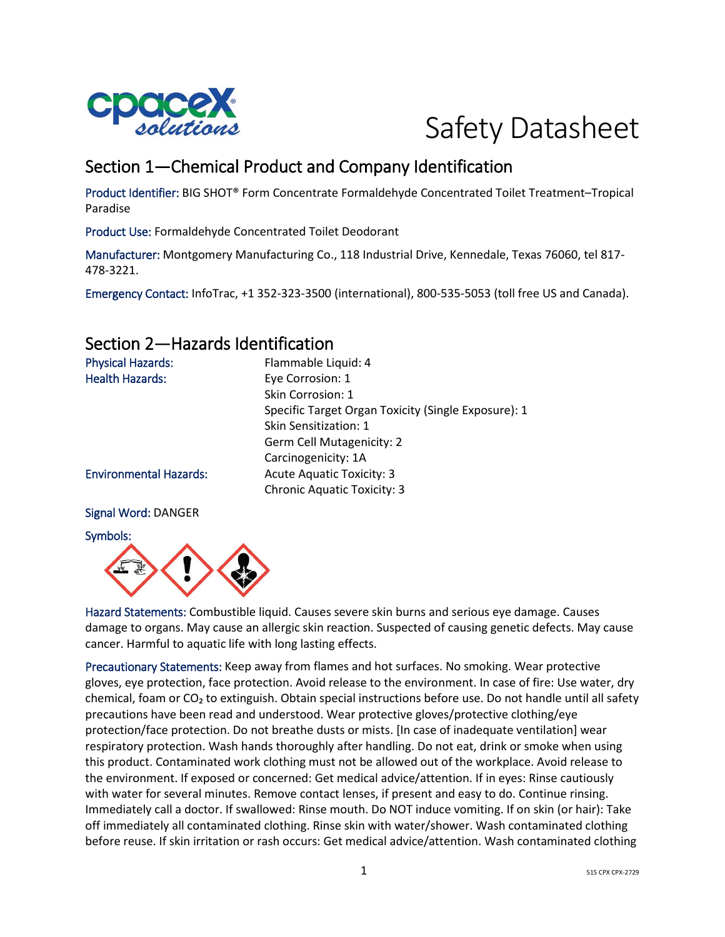

# Safety Datasheet

# Section 1—Chemical Product and Company Identification

Product Identifier: BIG SHOT® Form Concentrate Formaldehyde Concentrated Toilet Treatment–Tropical Paradise

Product Use: Formaldehyde Concentrated Toilet Deodorant

Manufacturer: Montgomery Manufacturing Co., 118 Industrial Drive, Kennedale, Texas 76060, tel 817- 478-3221.

Emergency Contact: InfoTrac, +1 352-323-3500 (international), 800-535-5053 (toll free US and Canada).

## Section 2—Hazards Identification

| <b>Physical Hazards:</b>      | Flammable Liquid: 4                                 |
|-------------------------------|-----------------------------------------------------|
| <b>Health Hazards:</b>        | Eye Corrosion: 1                                    |
|                               | Skin Corrosion: 1                                   |
|                               | Specific Target Organ Toxicity (Single Exposure): 1 |
|                               | Skin Sensitization: 1                               |
|                               | <b>Germ Cell Mutagenicity: 2</b>                    |
|                               | Carcinogenicity: 1A                                 |
| <b>Environmental Hazards:</b> | <b>Acute Aquatic Toxicity: 3</b>                    |
|                               | <b>Chronic Aquatic Toxicity: 3</b>                  |
|                               |                                                     |

#### Signal Word: DANGER

Symbols:



Hazard Statements: Combustible liquid. Causes severe skin burns and serious eye damage. Causes damage to organs. May cause an allergic skin reaction. Suspected of causing genetic defects. May cause cancer. Harmful to aquatic life with long lasting effects.

Precautionary Statements: Keep away from flames and hot surfaces. No smoking. Wear protective gloves, eye protection, face protection. Avoid release to the environment. In case of fire: Use water, dry chemical, foam or  $CO<sub>2</sub>$  to extinguish. Obtain special instructions before use. Do not handle until all safety precautions have been read and understood. Wear protective gloves/protective clothing/eye protection/face protection. Do not breathe dusts or mists. [In case of inadequate ventilation] wear respiratory protection. Wash hands thoroughly after handling. Do not eat, drink or smoke when using this product. Contaminated work clothing must not be allowed out of the workplace. Avoid release to the environment. If exposed or concerned: Get medical advice/attention. If in eyes: Rinse cautiously with water for several minutes. Remove contact lenses, if present and easy to do. Continue rinsing. Immediately call a doctor. If swallowed: Rinse mouth. Do NOT induce vomiting. If on skin (or hair): Take off immediately all contaminated clothing. Rinse skin with water/shower. Wash contaminated clothing before reuse. If skin irritation or rash occurs: Get medical advice/attention. Wash contaminated clothing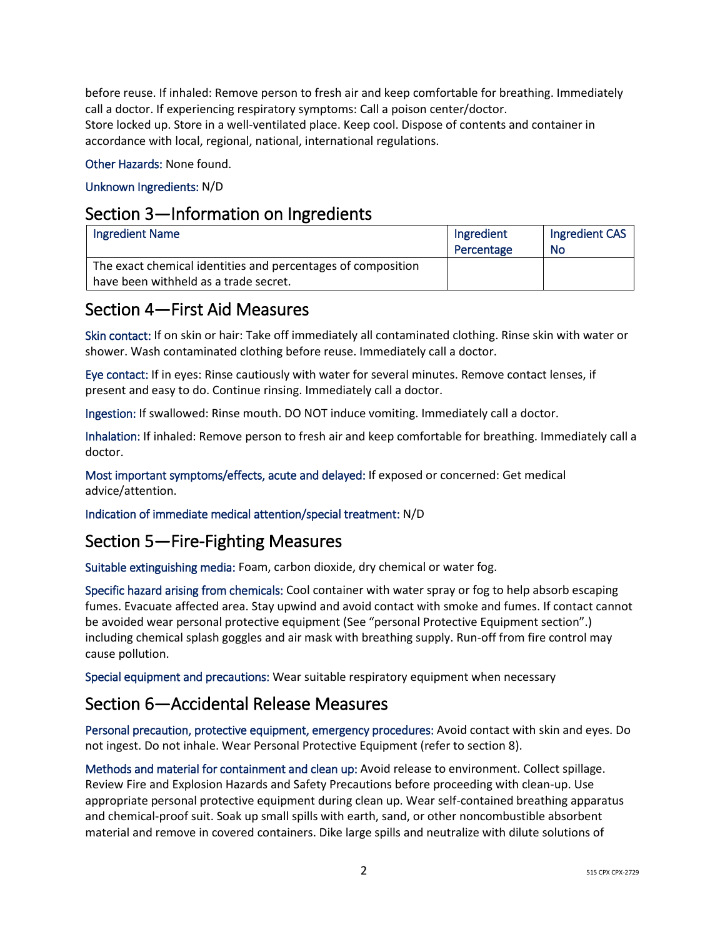before reuse. If inhaled: Remove person to fresh air and keep comfortable for breathing. Immediately call a doctor. If experiencing respiratory symptoms: Call a poison center/doctor. Store locked up. Store in a well-ventilated place. Keep cool. Dispose of contents and container in

accordance with local, regional, national, international regulations.

Other Hazards: None found.

#### Unknown Ingredients: N/D

## Section 3—Information on Ingredients

| <b>Ingredient Name</b>                                                                                | Ingredient<br>Percentage | Ingredient CAS<br>No |
|-------------------------------------------------------------------------------------------------------|--------------------------|----------------------|
| The exact chemical identities and percentages of composition<br>have been withheld as a trade secret. |                          |                      |

## Section 4—First Aid Measures

Skin contact: If on skin or hair: Take off immediately all contaminated clothing. Rinse skin with water or shower. Wash contaminated clothing before reuse. Immediately call a doctor.

Eye contact: If in eyes: Rinse cautiously with water for several minutes. Remove contact lenses, if present and easy to do. Continue rinsing. Immediately call a doctor.

Ingestion: If swallowed: Rinse mouth. DO NOT induce vomiting. Immediately call a doctor.

Inhalation: If inhaled: Remove person to fresh air and keep comfortable for breathing. Immediately call a doctor.

Most important symptoms/effects, acute and delayed: If exposed or concerned: Get medical advice/attention.

Indication of immediate medical attention/special treatment: N/D

# Section 5—Fire-Fighting Measures

Suitable extinguishing media: Foam, carbon dioxide, dry chemical or water fog.

Specific hazard arising from chemicals: Cool container with water spray or fog to help absorb escaping fumes. Evacuate affected area. Stay upwind and avoid contact with smoke and fumes. If contact cannot be avoided wear personal protective equipment (See "personal Protective Equipment section".) including chemical splash goggles and air mask with breathing supply. Run-off from fire control may cause pollution.

Special equipment and precautions: Wear suitable respiratory equipment when necessary

# Section 6—Accidental Release Measures

Personal precaution, protective equipment, emergency procedures: Avoid contact with skin and eyes. Do not ingest. Do not inhale. Wear Personal Protective Equipment (refer to section 8).

Methods and material for containment and clean up: Avoid release to environment. Collect spillage. Review Fire and Explosion Hazards and Safety Precautions before proceeding with clean-up. Use appropriate personal protective equipment during clean up. Wear self-contained breathing apparatus and chemical-proof suit. Soak up small spills with earth, sand, or other noncombustible absorbent material and remove in covered containers. Dike large spills and neutralize with dilute solutions of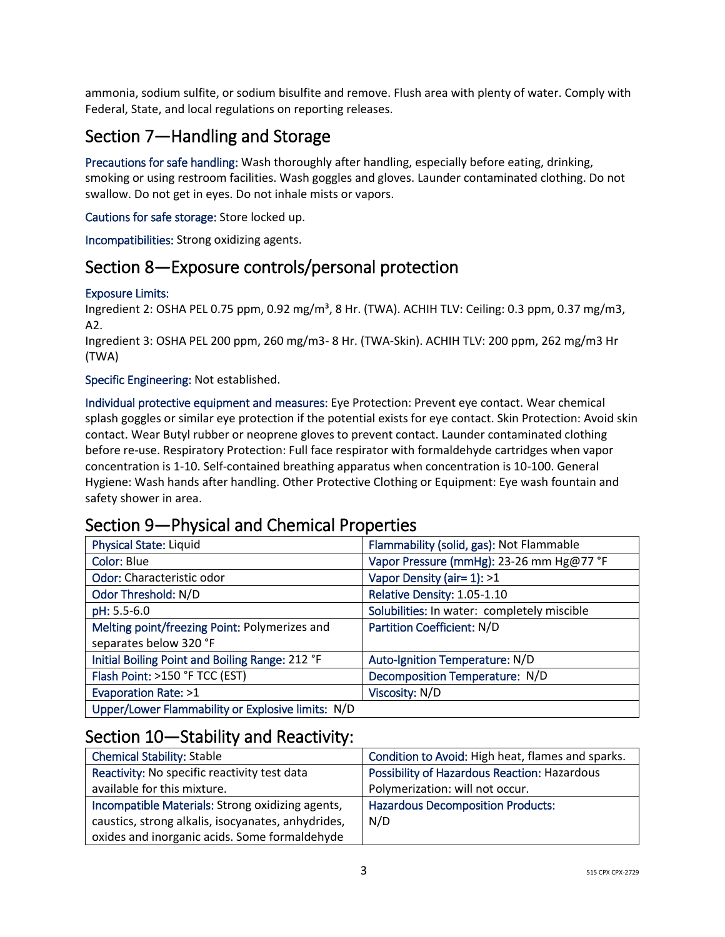ammonia, sodium sulfite, or sodium bisulfite and remove. Flush area with plenty of water. Comply with Federal, State, and local regulations on reporting releases.

# Section 7—Handling and Storage

Precautions for safe handling: Wash thoroughly after handling, especially before eating, drinking, smoking or using restroom facilities. Wash goggles and gloves. Launder contaminated clothing. Do not swallow. Do not get in eyes. Do not inhale mists or vapors.

Cautions for safe storage: Store locked up.

Incompatibilities: Strong oxidizing agents.

## Section 8—Exposure controls/personal protection

#### Exposure Limits:

Ingredient 2: OSHA PEL 0.75 ppm, 0.92 mg/m<sup>3</sup>, 8 Hr. (TWA). ACHIH TLV: Ceiling: 0.3 ppm, 0.37 mg/m3, A2.

Ingredient 3: OSHA PEL 200 ppm, 260 mg/m3- 8 Hr. (TWA-Skin). ACHIH TLV: 200 ppm, 262 mg/m3 Hr (TWA)

#### Specific Engineering: Not established.

Individual protective equipment and measures: Eye Protection: Prevent eye contact. Wear chemical splash goggles or similar eye protection if the potential exists for eye contact. Skin Protection: Avoid skin contact. Wear Butyl rubber or neoprene gloves to prevent contact. Launder contaminated clothing before re-use. Respiratory Protection: Full face respirator with formaldehyde cartridges when vapor concentration is 1-10. Self-contained breathing apparatus when concentration is 10-100. General Hygiene: Wash hands after handling. Other Protective Clothing or Equipment: Eye wash fountain and safety shower in area.

### Section 9—Physical and Chemical Properties

| <b>Physical State: Liquid</b>                     | Flammability (solid, gas): Not Flammable    |
|---------------------------------------------------|---------------------------------------------|
| Color: Blue                                       | Vapor Pressure (mmHg): 23-26 mm Hg@77 °F    |
| Odor: Characteristic odor                         | Vapor Density (air= 1): >1                  |
| Odor Threshold: N/D                               | Relative Density: 1.05-1.10                 |
| pH: 5.5-6.0                                       | Solubilities: In water: completely miscible |
| Melting point/freezing Point: Polymerizes and     | <b>Partition Coefficient: N/D</b>           |
| separates below 320 °F                            |                                             |
| Initial Boiling Point and Boiling Range: 212 °F   | Auto-Ignition Temperature: N/D              |
| Flash Point: >150 °F TCC (EST)                    | Decomposition Temperature: N/D              |
| Evaporation Rate: >1                              | Viscosity: N/D                              |
| Upper/Lower Flammability or Explosive limits: N/D |                                             |

### Section 10—Stability and Reactivity:

| <b>Chemical Stability: Stable</b>                  | Condition to Avoid: High heat, flames and sparks. |
|----------------------------------------------------|---------------------------------------------------|
| Reactivity: No specific reactivity test data       | Possibility of Hazardous Reaction: Hazardous      |
| available for this mixture.                        | Polymerization: will not occur.                   |
| Incompatible Materials: Strong oxidizing agents,   | <b>Hazardous Decomposition Products:</b>          |
| caustics, strong alkalis, isocyanates, anhydrides, | N/D                                               |
| oxides and inorganic acids. Some formaldehyde      |                                                   |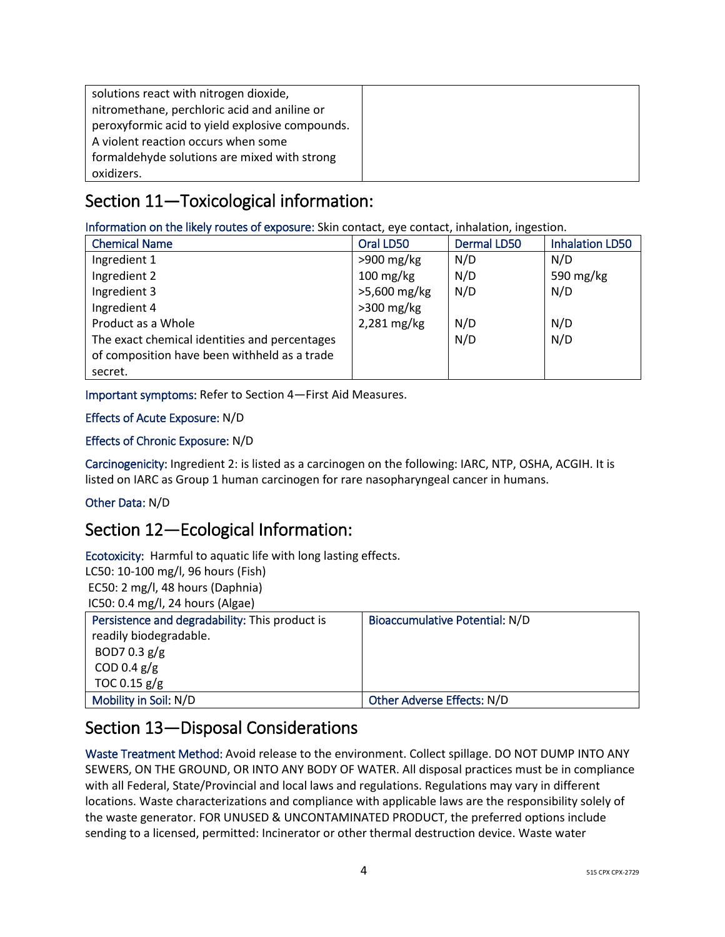| solutions react with nitrogen dioxide,          |  |
|-------------------------------------------------|--|
| nitromethane, perchloric acid and aniline or    |  |
| peroxyformic acid to yield explosive compounds. |  |
| A violent reaction occurs when some             |  |
| formaldehyde solutions are mixed with strong    |  |
| oxidizers.                                      |  |

# Section 11—Toxicological information:

Information on the likely routes of exposure: Skin contact, eye contact, inhalation, ingestion.

| <b>Chemical Name</b>                          | Oral LD50           | <b>Dermal LD50</b> | <b>Inhalation LD50</b> |
|-----------------------------------------------|---------------------|--------------------|------------------------|
| Ingredient 1                                  | $>900$ mg/kg        | N/D                | N/D                    |
| Ingredient 2                                  | $100 \text{ mg/kg}$ | N/D                | 590 mg/kg              |
| Ingredient 3                                  | >5,600 mg/kg        | N/D                | N/D                    |
| Ingredient 4                                  | $>300$ mg/kg        |                    |                        |
| Product as a Whole                            | 2,281 mg/kg         | N/D                | N/D                    |
| The exact chemical identities and percentages |                     | N/D                | N/D                    |
| of composition have been withheld as a trade  |                     |                    |                        |
| secret.                                       |                     |                    |                        |

Important symptoms: Refer to Section 4—First Aid Measures.

#### Effects of Acute Exposure: N/D

#### Effects of Chronic Exposure: N/D

Carcinogenicity: Ingredient 2: is listed as a carcinogen on the following: IARC, NTP, OSHA, ACGIH. It is listed on IARC as Group 1 human carcinogen for rare nasopharyngeal cancer in humans.

#### Other Data: N/D

## Section 12—Ecological Information:

Ecotoxicity: Harmful to aquatic life with long lasting effects. LC50: 10-100 mg/l, 96 hours (Fish) EC50: 2 mg/l, 48 hours (Daphnia)

IC50: 0.4 mg/l, 24 hours (Algae)

| Persistence and degradability: This product is | Bioaccumulative Potential: N/D |
|------------------------------------------------|--------------------------------|
| readily biodegradable.                         |                                |
| BOD7 0.3 $g/g$                                 |                                |
| COD 0.4 $g/g$                                  |                                |
| TOC 0.15 $g/g$                                 |                                |
| Mobility in Soil: N/D                          | Other Adverse Effects: N/D     |

# Section 13—Disposal Considerations

Waste Treatment Method: Avoid release to the environment. Collect spillage. DO NOT DUMP INTO ANY SEWERS, ON THE GROUND, OR INTO ANY BODY OF WATER. All disposal practices must be in compliance with all Federal, State/Provincial and local laws and regulations. Regulations may vary in different locations. Waste characterizations and compliance with applicable laws are the responsibility solely of the waste generator. FOR UNUSED & UNCONTAMINATED PRODUCT, the preferred options include sending to a licensed, permitted: Incinerator or other thermal destruction device. Waste water